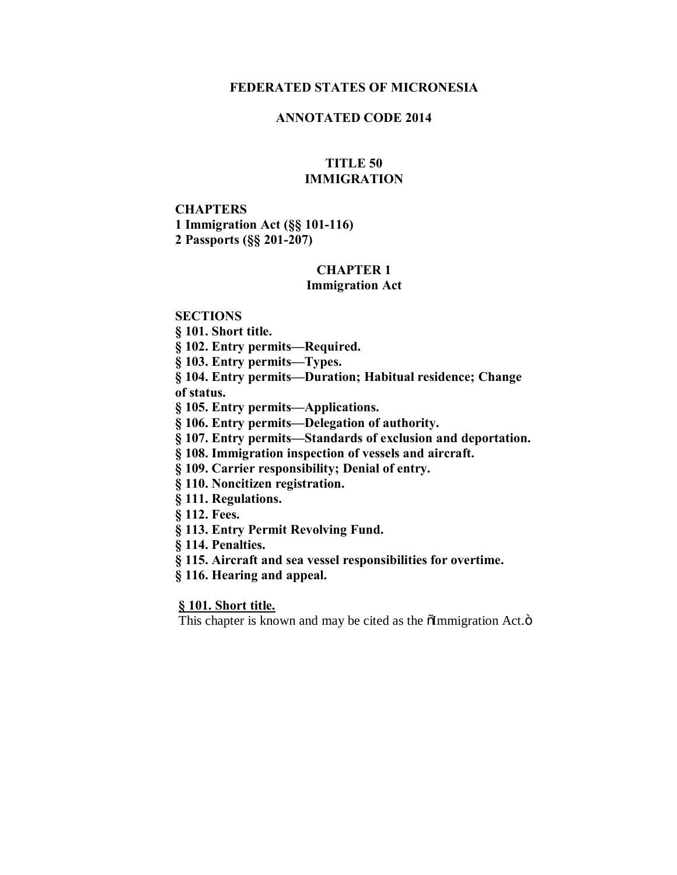#### **FEDERATED STATES OF MICRONESIA**

### **ANNOTATED CODE 2014**

#### **TITLE 50 IMMIGRATION**

# **CHAPTERS 1 Immigration Act (§§ 101-116) 2 Passports (§§ 201-207)**

# **CHAPTER 1**

# **Immigration Act**

#### **SECTIONS**

**§ 101. Short title.**

**§ 102. Entry permits—Required.**

**§ 103. Entry permits—Types.**

**§ 104. Entry permits—Duration; Habitual residence; Change of status.**

**§ 105. Entry permits—Applications.**

**§ 106. Entry permits—Delegation of authority.**

**§ 107. Entry permits—Standards of exclusion and deportation.**

**§ 108. Immigration inspection of vessels and aircraft.**

**§ 109. Carrier responsibility; Denial of entry.**

**§ 110. Noncitizen registration.**

**§ 111. Regulations.**

**§ 112. Fees.**

**§ 113. Entry Permit Revolving Fund.**

**§ 114. Penalties.**

**§ 115. Aircraft and sea vessel responsibilities for overtime.**

**§ 116. Hearing and appeal.**

**§ 101. Short title.**

This chapter is known and may be cited as the  $\tilde{\text{ol}}$ mmigration Act. $\ddot{\text{o}}$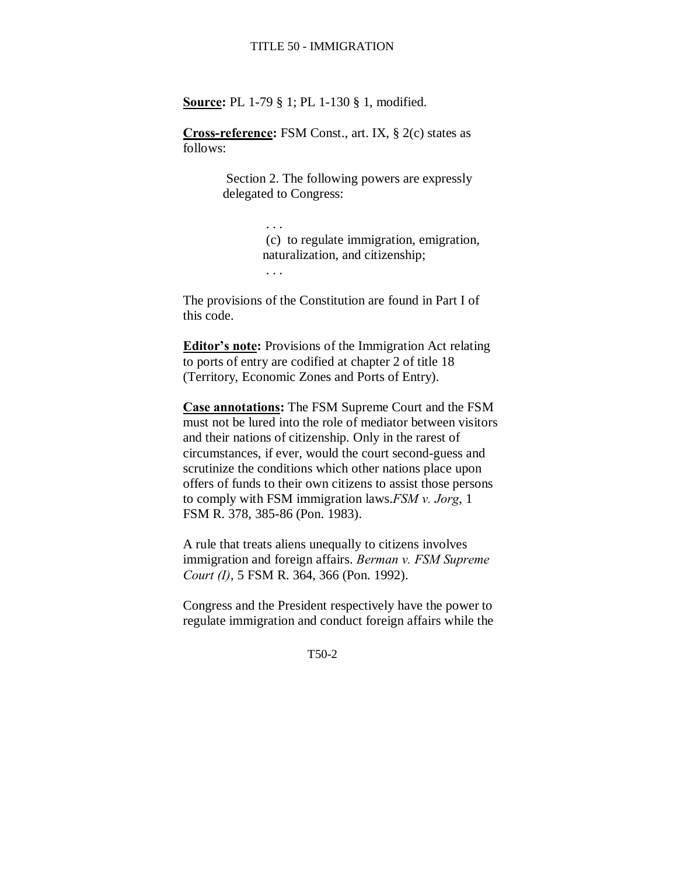**Source:** PL 1-79 § 1; PL 1-130 § 1, modified.

**Cross-reference:** FSM Const., art. IX, § 2(c) states as follows:

> Section 2. The following powers are expressly delegated to Congress:

> > (c) to regulate immigration, emigration, naturalization, and citizenship;

. . .

. . .

The provisions of the Constitution are found in Part I of this code.

**Editor's note:** Provisions of the Immigration Act relating to ports of entry are codified at chapter 2 of title 18 (Territory, Economic Zones and Ports of Entry).

**Case annotations:** The FSM Supreme Court and the FSM must not be lured into the role of mediator between visitors and their nations of citizenship. Only in the rarest of circumstances, if ever, would the court second-guess and scrutinize the conditions which other nations place upon offers of funds to their own citizens to assist those persons to comply with FSM immigration laws.*FSM v. Jorg*, 1 FSM R. 378, 385-86 (Pon. 1983).

A rule that treats aliens unequally to citizens involves immigration and foreign affairs. *Berman v. FSM Supreme Court (I)*, 5 FSM R. 364, 366 (Pon. 1992).

Congress and the President respectively have the power to regulate immigration and conduct foreign affairs while the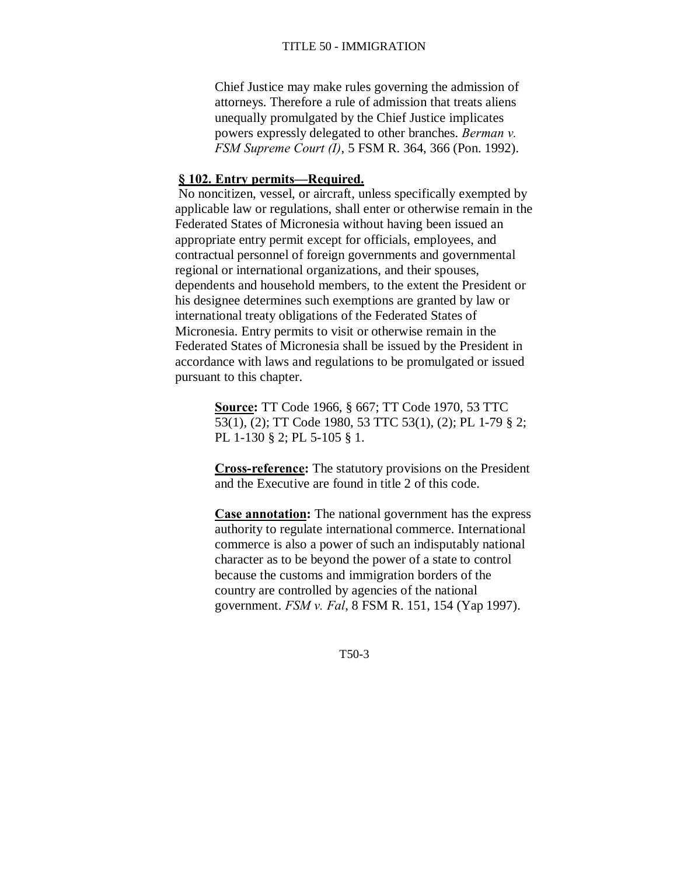Chief Justice may make rules governing the admission of attorneys. Therefore a rule of admission that treats aliens unequally promulgated by the Chief Justice implicates powers expressly delegated to other branches. *Berman v. FSM Supreme Court (I)*, 5 FSM R. 364, 366 (Pon. 1992).

# **§ 102. Entry permits—Required.**

No noncitizen, vessel, or aircraft, unless specifically exempted by applicable law or regulations, shall enter or otherwise remain in the Federated States of Micronesia without having been issued an appropriate entry permit except for officials, employees, and contractual personnel of foreign governments and governmental regional or international organizations, and their spouses, dependents and household members, to the extent the President or his designee determines such exemptions are granted by law or international treaty obligations of the Federated States of Micronesia. Entry permits to visit or otherwise remain in the Federated States of Micronesia shall be issued by the President in accordance with laws and regulations to be promulgated or issued pursuant to this chapter.

> **Source:** TT Code 1966, § 667; TT Code 1970, 53 TTC 53(1), (2); TT Code 1980, 53 TTC 53(1), (2); PL 1-79 § 2; PL 1-130 § 2; PL 5-105 § 1.

**Cross-reference:** The statutory provisions on the President and the Executive are found in title 2 of this code.

**Case annotation:** The national government has the express authority to regulate international commerce. International commerce is also a power of such an indisputably national character as to be beyond the power of a state to control because the customs and immigration borders of the country are controlled by agencies of the national government. *FSM v. Fal*, 8 FSM R. 151, 154 (Yap 1997).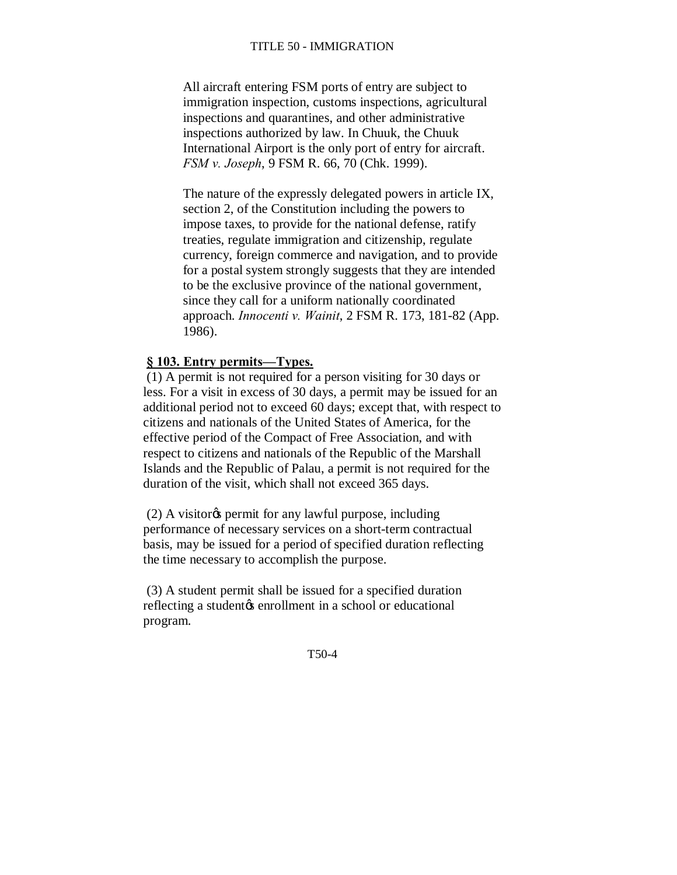All aircraft entering FSM ports of entry are subject to immigration inspection, customs inspections, agricultural inspections and quarantines, and other administrative inspections authorized by law. In Chuuk, the Chuuk International Airport is the only port of entry for aircraft. *FSM v. Joseph*, 9 FSM R. 66, 70 (Chk. 1999).

The nature of the expressly delegated powers in article IX, section 2, of the Constitution including the powers to impose taxes, to provide for the national defense, ratify treaties, regulate immigration and citizenship, regulate currency, foreign commerce and navigation, and to provide for a postal system strongly suggests that they are intended to be the exclusive province of the national government, since they call for a uniform nationally coordinated approach. *Innocenti v. Wainit*, 2 FSM R. 173, 181-82 (App. 1986).

#### **§ 103. Entry permits—Types.**

(1) A permit is not required for a person visiting for 30 days or less. For a visit in excess of 30 days, a permit may be issued for an additional period not to exceed 60 days; except that, with respect to citizens and nationals of the United States of America, for the effective period of the Compact of Free Association, and with respect to citizens and nationals of the Republic of the Marshall Islands and the Republic of Palau, a permit is not required for the duration of the visit, which shall not exceed 365 days.

 $(2)$  A visitor<sub> $\circ$ </sub> permit for any lawful purpose, including performance of necessary services on a short-term contractual basis, may be issued for a period of specified duration reflecting the time necessary to accomplish the purpose.

(3) A student permit shall be issued for a specified duration reflecting a student the enrollment in a school or educational program.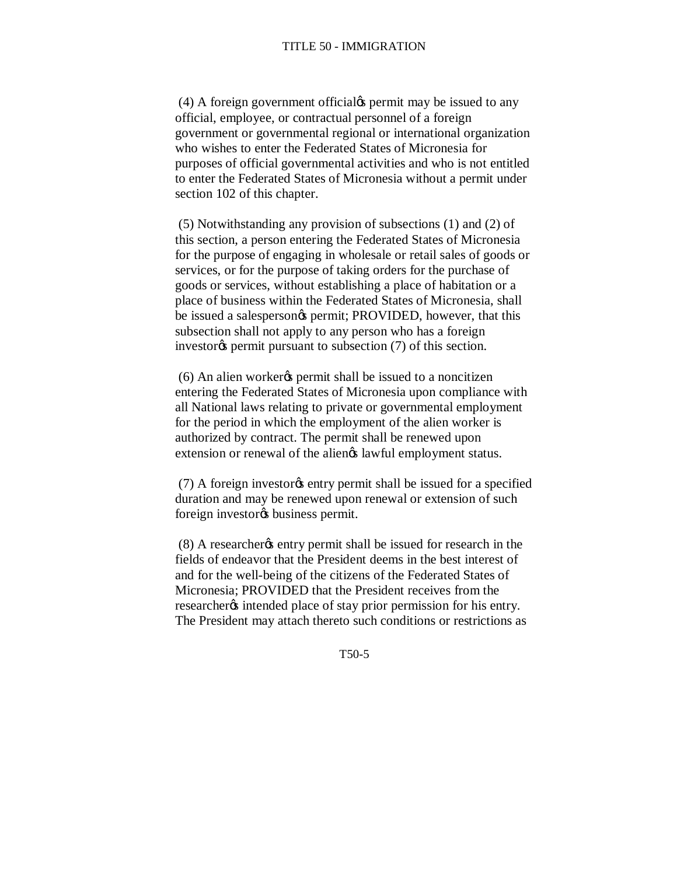(4) A foreign government official the permit may be issued to any official, employee, or contractual personnel of a foreign government or governmental regional or international organization who wishes to enter the Federated States of Micronesia for purposes of official governmental activities and who is not entitled to enter the Federated States of Micronesia without a permit under section 102 of this chapter.

(5) Notwithstanding any provision of subsections (1) and (2) of this section, a person entering the Federated States of Micronesia for the purpose of engaging in wholesale or retail sales of goods or services, or for the purpose of taking orders for the purchase of goods or services, without establishing a place of habitation or a place of business within the Federated States of Micronesia, shall be issued a salespersongs permit; PROVIDED, however, that this subsection shall not apply to any person who has a foreign investor<sub>%</sub> permit pursuant to subsection (7) of this section.

 $(6)$  An alien worker $\alpha$  permit shall be issued to a noncitizen entering the Federated States of Micronesia upon compliance with all National laws relating to private or governmental employment for the period in which the employment of the alien worker is authorized by contract. The permit shall be renewed upon extension or renewal of the aliengs lawful employment status.

(7) A foreign investor the sentry permit shall be issued for a specified duration and may be renewed upon renewal or extension of such foreign investor<sub>os</sub> business permit.

(8) A researcher the entry permit shall be issued for research in the fields of endeavor that the President deems in the best interest of and for the well-being of the citizens of the Federated States of Micronesia; PROVIDED that the President receives from the researcher<sub>%</sub> intended place of stay prior permission for his entry. The President may attach thereto such conditions or restrictions as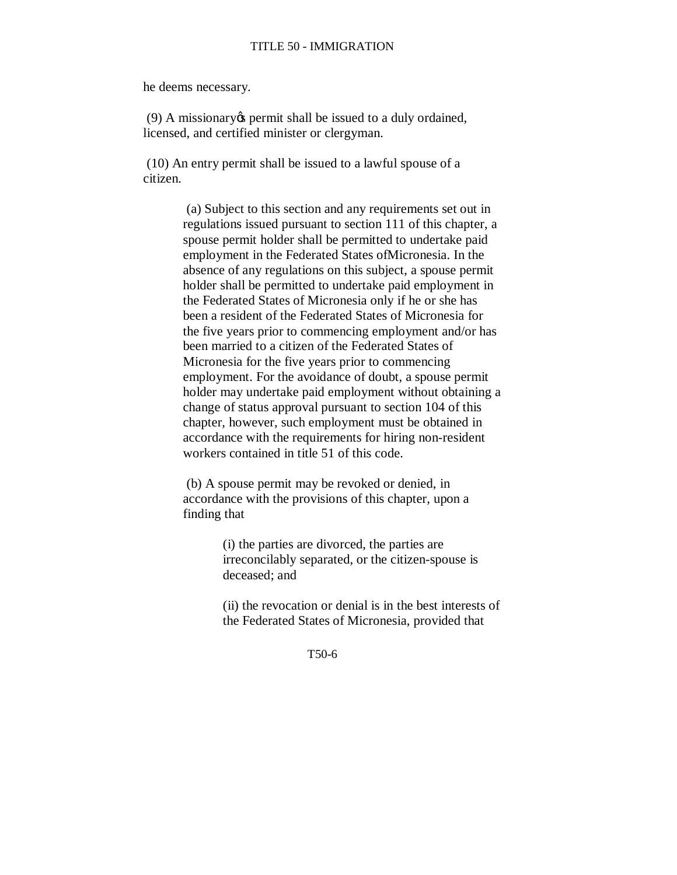he deems necessary.

 $(9)$  A missionary  $\&$  permit shall be issued to a duly ordained, licensed, and certified minister or clergyman.

(10) An entry permit shall be issued to a lawful spouse of a citizen.

> (a) Subject to this section and any requirements set out in regulations issued pursuant to section 111 of this chapter, a spouse permit holder shall be permitted to undertake paid employment in the Federated States ofMicronesia. In the absence of any regulations on this subject, a spouse permit holder shall be permitted to undertake paid employment in the Federated States of Micronesia only if he or she has been a resident of the Federated States of Micronesia for the five years prior to commencing employment and/or has been married to a citizen of the Federated States of Micronesia for the five years prior to commencing employment. For the avoidance of doubt, a spouse permit holder may undertake paid employment without obtaining a change of status approval pursuant to section 104 of this chapter, however, such employment must be obtained in accordance with the requirements for hiring non-resident workers contained in title 51 of this code.

(b) A spouse permit may be revoked or denied, in accordance with the provisions of this chapter, upon a finding that

> (i) the parties are divorced, the parties are irreconcilably separated, or the citizen-spouse is deceased; and

(ii) the revocation or denial is in the best interests of the Federated States of Micronesia, provided that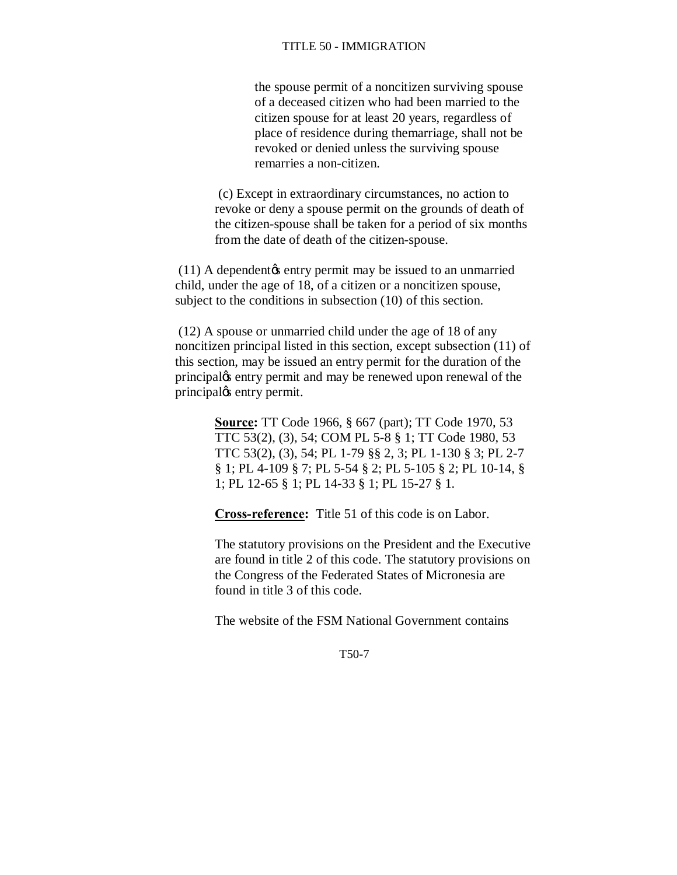the spouse permit of a noncitizen surviving spouse of a deceased citizen who had been married to the citizen spouse for at least 20 years, regardless of place of residence during themarriage, shall not be revoked or denied unless the surviving spouse remarries a non-citizen.

(c) Except in extraordinary circumstances, no action to revoke or deny a spouse permit on the grounds of death of the citizen-spouse shall be taken for a period of six months from the date of death of the citizen-spouse.

 $(11)$  A dependent $\alpha$  entry permit may be issued to an unmarried child, under the age of 18, of a citizen or a noncitizen spouse, subject to the conditions in subsection (10) of this section.

(12) A spouse or unmarried child under the age of 18 of any noncitizen principal listed in this section, except subsection (11) of this section, may be issued an entry permit for the duration of the principal $\alpha$  entry permit and may be renewed upon renewal of the principal<sub>®</sub> entry permit.

> **Source:** TT Code 1966, § 667 (part); TT Code 1970, 53 TTC 53(2), (3), 54; COM PL 5-8 § 1; TT Code 1980, 53 TTC 53(2), (3), 54; PL 1-79 §§ 2, 3; PL 1-130 § 3; PL 2-7 § 1; PL 4-109 § 7; PL 5-54 § 2; PL 5-105 § 2; PL 10-14, § 1; PL 12-65 § 1; PL 14-33 § 1; PL 15-27 § 1.

**Cross-reference:** Title 51 of this code is on Labor.

The statutory provisions on the President and the Executive are found in title 2 of this code. The statutory provisions on the Congress of the Federated States of Micronesia are found in title 3 of this code.

The website of the FSM National Government contains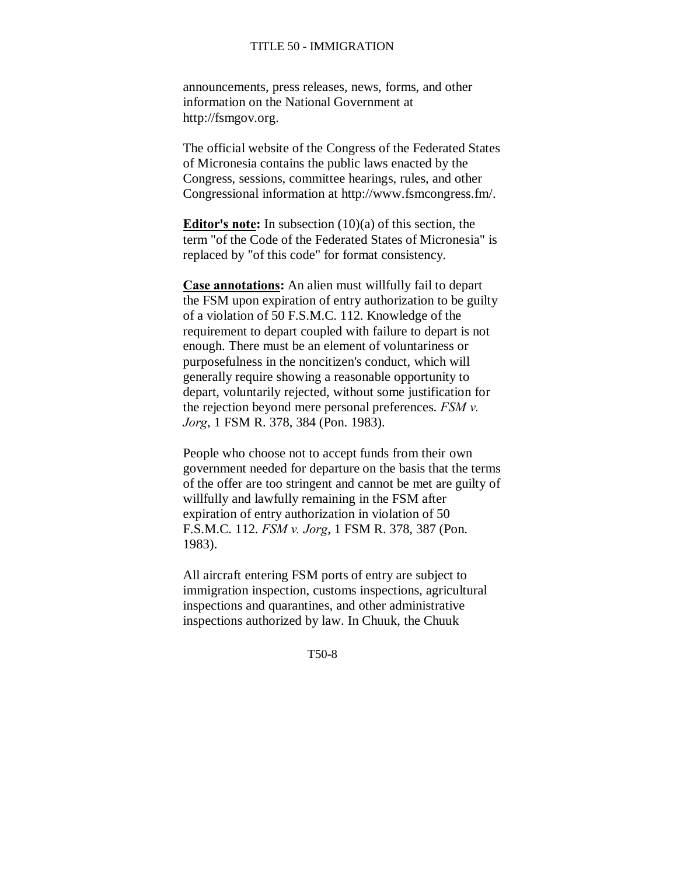announcements, press releases, news, forms, and other information on the National Government at http://fsmgov.org.

The official website of the Congress of the Federated States of Micronesia contains the public laws enacted by the Congress, sessions, committee hearings, rules, and other Congressional information at http://www.fsmcongress.fm/.

**Editor's note:** In subsection (10)(a) of this section, the term "of the Code of the Federated States of Micronesia" is replaced by "of this code" for format consistency.

**Case annotations:** An alien must willfully fail to depart the FSM upon expiration of entry authorization to be guilty of a violation of 50 F.S.M.C. 112. Knowledge of the requirement to depart coupled with failure to depart is not enough. There must be an element of voluntariness or purposefulness in the noncitizen's conduct, which will generally require showing a reasonable opportunity to depart, voluntarily rejected, without some justification for the rejection beyond mere personal preferences. *FSM v. Jorg*, 1 FSM R. 378, 384 (Pon. 1983).

People who choose not to accept funds from their own government needed for departure on the basis that the terms of the offer are too stringent and cannot be met are guilty of willfully and lawfully remaining in the FSM after expiration of entry authorization in violation of 50 F.S.M.C. 112. *FSM v. Jorg*, 1 FSM R. 378, 387 (Pon. 1983).

All aircraft entering FSM ports of entry are subject to immigration inspection, customs inspections, agricultural inspections and quarantines, and other administrative inspections authorized by law. In Chuuk, the Chuuk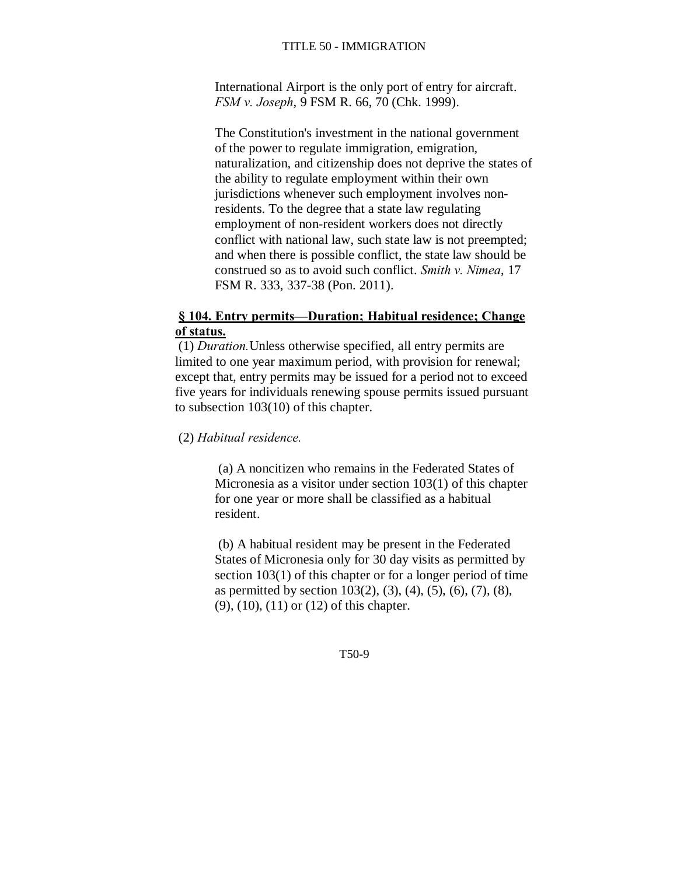International Airport is the only port of entry for aircraft. *FSM v. Joseph*, 9 FSM R. 66, 70 (Chk. 1999).

The Constitution's investment in the national government of the power to regulate immigration, emigration, naturalization, and citizenship does not deprive the states of the ability to regulate employment within their own jurisdictions whenever such employment involves nonresidents. To the degree that a state law regulating employment of non-resident workers does not directly conflict with national law, such state law is not preempted; and when there is possible conflict, the state law should be construed so as to avoid such conflict. *Smith v. Nimea*, 17 FSM R. 333, 337-38 (Pon. 2011).

# **§ 104. Entry permits—Duration; Habitual residence; Change of status.**

(1) *Duration.*Unless otherwise specified, all entry permits are limited to one year maximum period, with provision for renewal; except that, entry permits may be issued for a period not to exceed five years for individuals renewing spouse permits issued pursuant to subsection 103(10) of this chapter.

(2) *Habitual residence.*

(a) A noncitizen who remains in the Federated States of Micronesia as a visitor under section 103(1) of this chapter for one year or more shall be classified as a habitual resident.

(b) A habitual resident may be present in the Federated States of Micronesia only for 30 day visits as permitted by section 103(1) of this chapter or for a longer period of time as permitted by section  $103(2)$ ,  $(3)$ ,  $(4)$ ,  $(5)$ ,  $(6)$ ,  $(7)$ ,  $(8)$ , (9), (10), (11) or (12) of this chapter.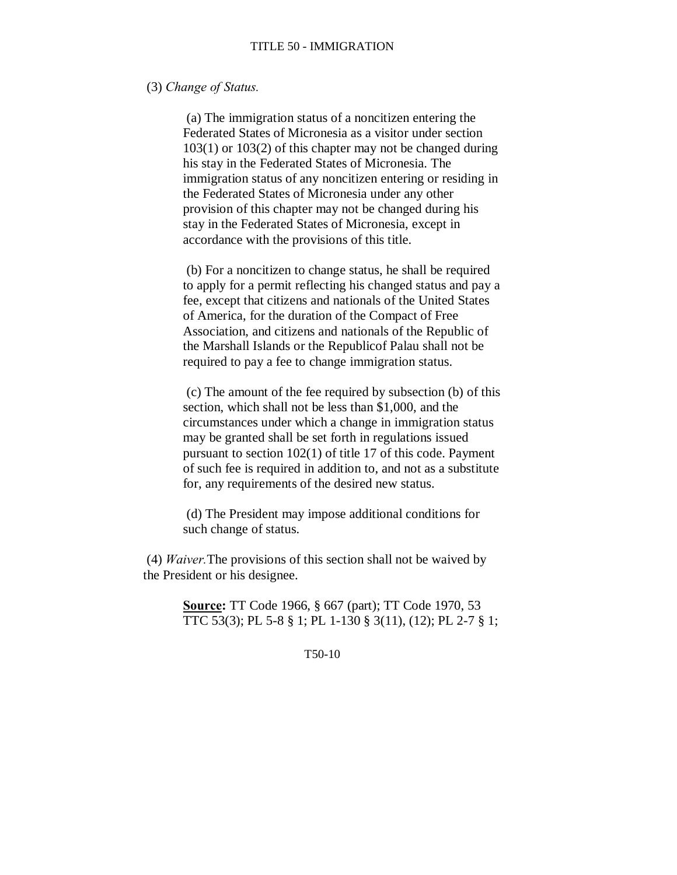### (3) *Change of Status.*

(a) The immigration status of a noncitizen entering the Federated States of Micronesia as a visitor under section 103(1) or 103(2) of this chapter may not be changed during his stay in the Federated States of Micronesia. The immigration status of any noncitizen entering or residing in the Federated States of Micronesia under any other provision of this chapter may not be changed during his stay in the Federated States of Micronesia, except in accordance with the provisions of this title.

(b) For a noncitizen to change status, he shall be required to apply for a permit reflecting his changed status and pay a fee, except that citizens and nationals of the United States of America, for the duration of the Compact of Free Association, and citizens and nationals of the Republic of the Marshall Islands or the Republicof Palau shall not be required to pay a fee to change immigration status.

(c) The amount of the fee required by subsection (b) of this section, which shall not be less than \$1,000, and the circumstances under which a change in immigration status may be granted shall be set forth in regulations issued pursuant to section 102(1) of title 17 of this code. Payment of such fee is required in addition to, and not as a substitute for, any requirements of the desired new status.

(d) The President may impose additional conditions for such change of status.

(4) *Waiver.*The provisions of this section shall not be waived by the President or his designee.

> **Source:** TT Code 1966, § 667 (part); TT Code 1970, 53 TTC 53(3); PL 5-8 § 1; PL 1-130 § 3(11), (12); PL 2-7 § 1;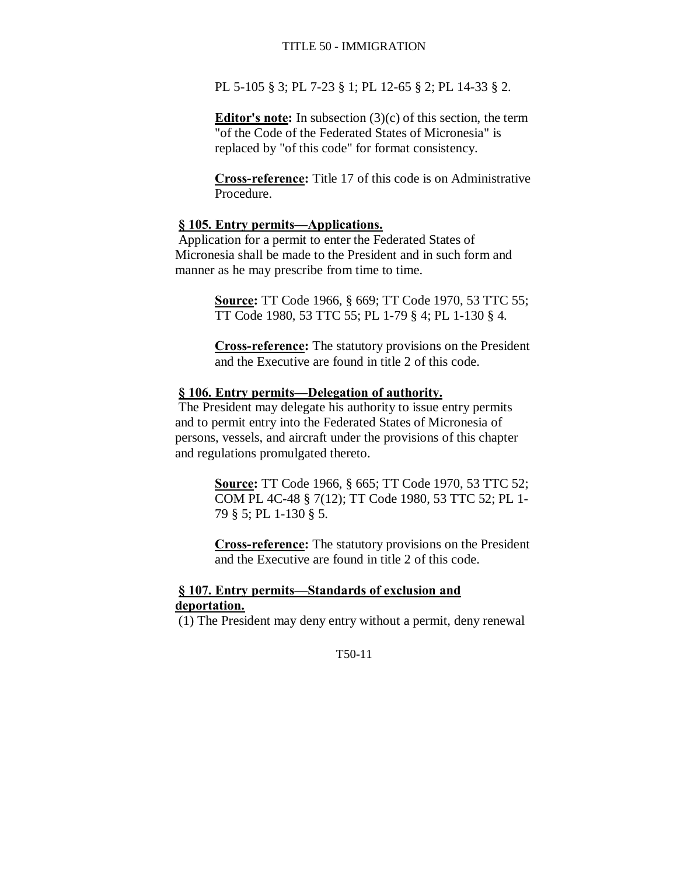PL 5-105 § 3; PL 7-23 § 1; PL 12-65 § 2; PL 14-33 § 2.

**Editor's note:** In subsection (3)(c) of this section, the term "of the Code of the Federated States of Micronesia" is replaced by "of this code" for format consistency.

**Cross-reference:** Title 17 of this code is on Administrative Procedure.

# **§ 105. Entry permits—Applications.**

Application for a permit to enter the Federated States of Micronesia shall be made to the President and in such form and manner as he may prescribe from time to time.

> **Source:** TT Code 1966, § 669; TT Code 1970, 53 TTC 55; TT Code 1980, 53 TTC 55; PL 1-79 § 4; PL 1-130 § 4.

> **Cross-reference:** The statutory provisions on the President and the Executive are found in title 2 of this code.

# **§ 106. Entry permits—Delegation of authority.**

The President may delegate his authority to issue entry permits and to permit entry into the Federated States of Micronesia of persons, vessels, and aircraft under the provisions of this chapter and regulations promulgated thereto.

> **Source:** TT Code 1966, § 665; TT Code 1970, 53 TTC 52; COM PL 4C-48 § 7(12); TT Code 1980, 53 TTC 52; PL 1- 79 § 5; PL 1-130 § 5.

> **Cross-reference:** The statutory provisions on the President and the Executive are found in title 2 of this code.

# **§ 107. Entry permits—Standards of exclusion and deportation.**

(1) The President may deny entry without a permit, deny renewal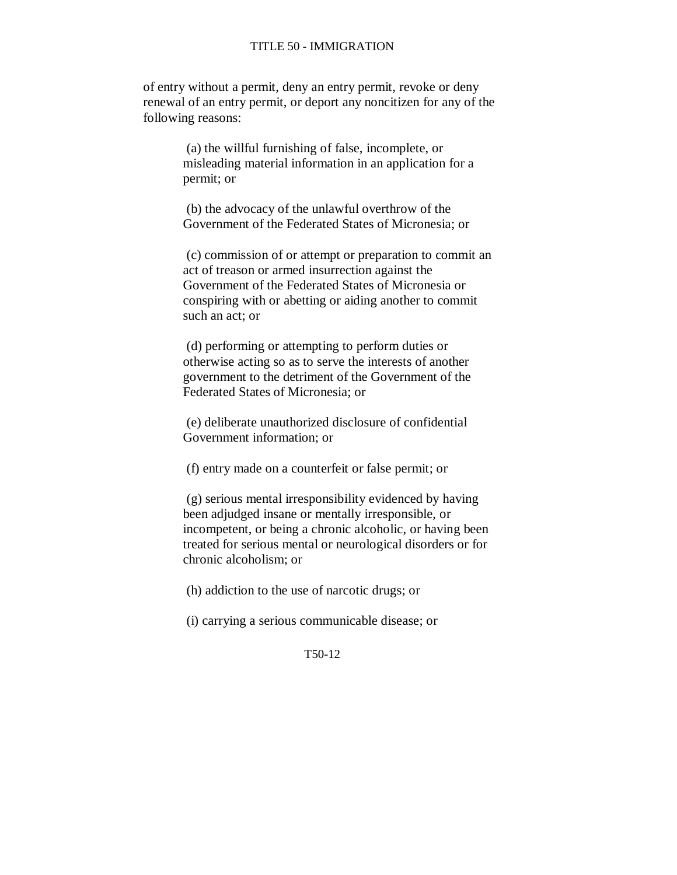of entry without a permit, deny an entry permit, revoke or deny renewal of an entry permit, or deport any noncitizen for any of the following reasons:

> (a) the willful furnishing of false, incomplete, or misleading material information in an application for a permit; or

(b) the advocacy of the unlawful overthrow of the Government of the Federated States of Micronesia; or

(c) commission of or attempt or preparation to commit an act of treason or armed insurrection against the Government of the Federated States of Micronesia or conspiring with or abetting or aiding another to commit such an act; or

(d) performing or attempting to perform duties or otherwise acting so as to serve the interests of another government to the detriment of the Government of the Federated States of Micronesia; or

(e) deliberate unauthorized disclosure of confidential Government information; or

(f) entry made on a counterfeit or false permit; or

(g) serious mental irresponsibility evidenced by having been adjudged insane or mentally irresponsible, or incompetent, or being a chronic alcoholic, or having been treated for serious mental or neurological disorders or for chronic alcoholism; or

(h) addiction to the use of narcotic drugs; or

(i) carrying a serious communicable disease; or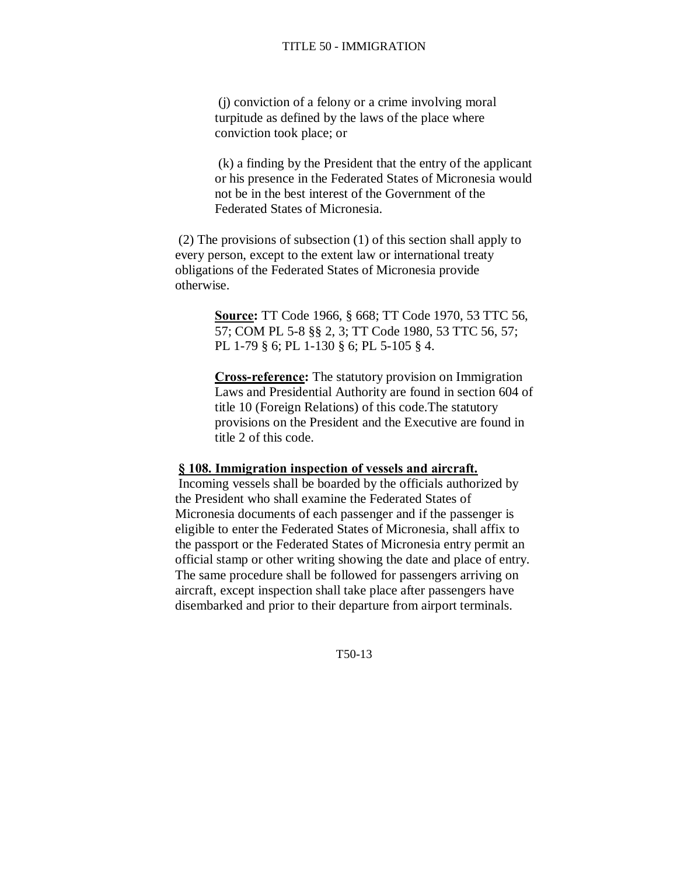(j) conviction of a felony or a crime involving moral turpitude as defined by the laws of the place where conviction took place; or

(k) a finding by the President that the entry of the applicant or his presence in the Federated States of Micronesia would not be in the best interest of the Government of the Federated States of Micronesia.

(2) The provisions of subsection (1) of this section shall apply to every person, except to the extent law or international treaty obligations of the Federated States of Micronesia provide otherwise.

> **Source:** TT Code 1966, § 668; TT Code 1970, 53 TTC 56, 57; COM PL 5-8 §§ 2, 3; TT Code 1980, 53 TTC 56, 57; PL 1-79 § 6; PL 1-130 § 6; PL 5-105 § 4.

**Cross-reference:** The statutory provision on Immigration Laws and Presidential Authority are found in section 604 of title 10 (Foreign Relations) of this code.The statutory provisions on the President and the Executive are found in title 2 of this code.

#### **§ 108. Immigration inspection of vessels and aircraft.**

Incoming vessels shall be boarded by the officials authorized by the President who shall examine the Federated States of Micronesia documents of each passenger and if the passenger is eligible to enter the Federated States of Micronesia, shall affix to the passport or the Federated States of Micronesia entry permit an official stamp or other writing showing the date and place of entry. The same procedure shall be followed for passengers arriving on aircraft, except inspection shall take place after passengers have disembarked and prior to their departure from airport terminals.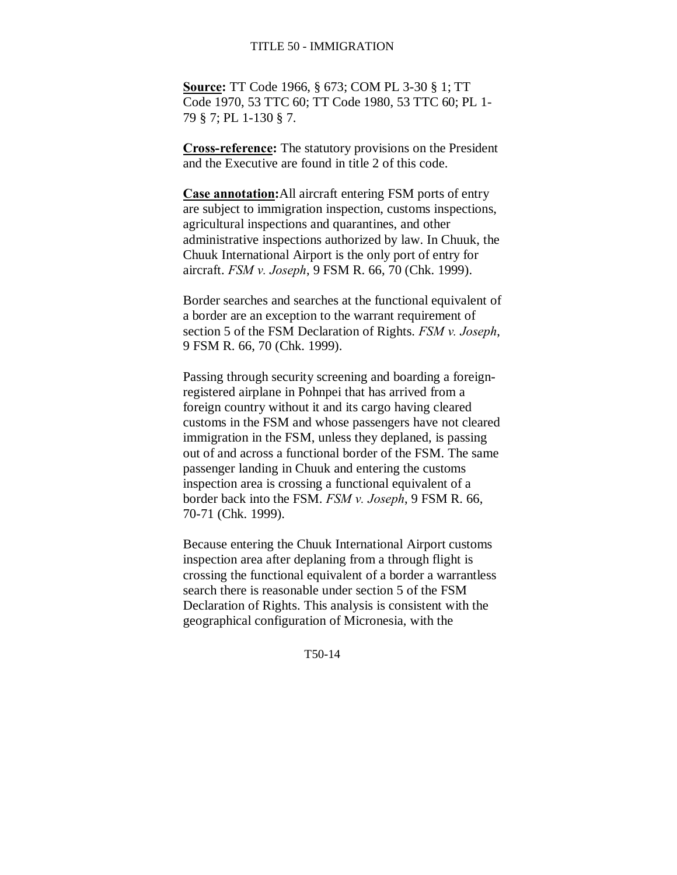**Source:** TT Code 1966, § 673; COM PL 3-30 § 1; TT Code 1970, 53 TTC 60; TT Code 1980, 53 TTC 60; PL 1- 79 § 7; PL 1-130 § 7.

**Cross-reference:** The statutory provisions on the President and the Executive are found in title 2 of this code.

**Case annotation:**All aircraft entering FSM ports of entry are subject to immigration inspection, customs inspections, agricultural inspections and quarantines, and other administrative inspections authorized by law. In Chuuk, the Chuuk International Airport is the only port of entry for aircraft. *FSM v. Joseph*, 9 FSM R. 66, 70 (Chk. 1999).

Border searches and searches at the functional equivalent of a border are an exception to the warrant requirement of section 5 of the FSM Declaration of Rights. *FSM v. Joseph*, 9 FSM R. 66, 70 (Chk. 1999).

Passing through security screening and boarding a foreignregistered airplane in Pohnpei that has arrived from a foreign country without it and its cargo having cleared customs in the FSM and whose passengers have not cleared immigration in the FSM, unless they deplaned, is passing out of and across a functional border of the FSM. The same passenger landing in Chuuk and entering the customs inspection area is crossing a functional equivalent of a border back into the FSM. *FSM v. Joseph*, 9 FSM R. 66, 70-71 (Chk. 1999).

Because entering the Chuuk International Airport customs inspection area after deplaning from a through flight is crossing the functional equivalent of a border a warrantless search there is reasonable under section 5 of the FSM Declaration of Rights. This analysis is consistent with the geographical configuration of Micronesia, with the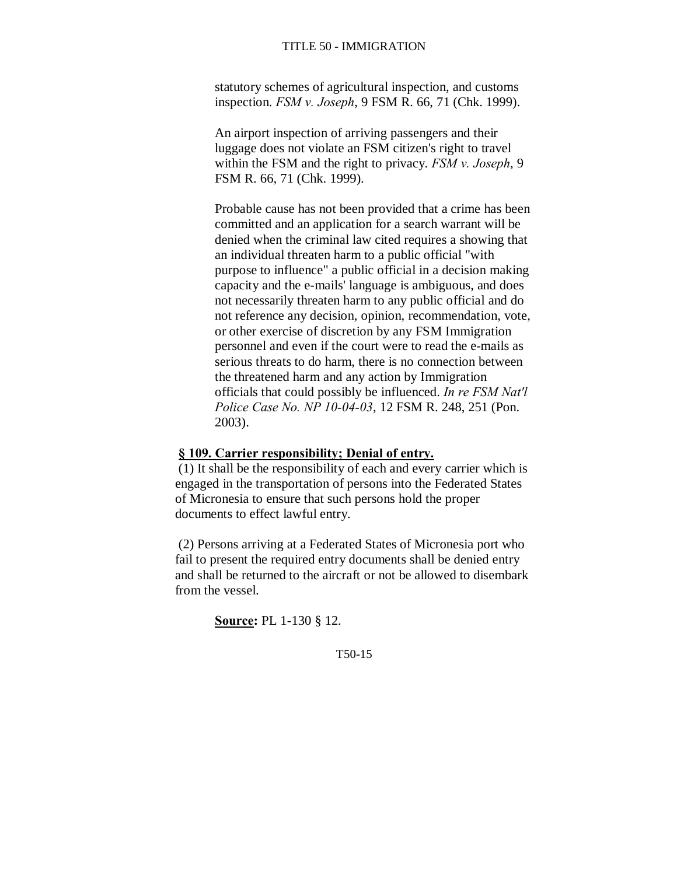statutory schemes of agricultural inspection, and customs inspection. *FSM v. Joseph*, 9 FSM R. 66, 71 (Chk. 1999).

An airport inspection of arriving passengers and their luggage does not violate an FSM citizen's right to travel within the FSM and the right to privacy. *FSM v. Joseph*, 9 FSM R. 66, 71 (Chk. 1999).

Probable cause has not been provided that a crime has been committed and an application for a search warrant will be denied when the criminal law cited requires a showing that an individual threaten harm to a public official "with purpose to influence" a public official in a decision making capacity and the e-mails' language is ambiguous, and does not necessarily threaten harm to any public official and do not reference any decision, opinion, recommendation, vote, or other exercise of discretion by any FSM Immigration personnel and even if the court were to read the e-mails as serious threats to do harm, there is no connection between the threatened harm and any action by Immigration officials that could possibly be influenced. *In re FSM Nat'l Police Case No. NP 10-04-03*, 12 FSM R. 248, 251 (Pon. 2003).

#### **§ 109. Carrier responsibility; Denial of entry.**

(1) It shall be the responsibility of each and every carrier which is engaged in the transportation of persons into the Federated States of Micronesia to ensure that such persons hold the proper documents to effect lawful entry.

(2) Persons arriving at a Federated States of Micronesia port who fail to present the required entry documents shall be denied entry and shall be returned to the aircraft or not be allowed to disembark from the vessel.

**Source:** PL 1-130 § 12.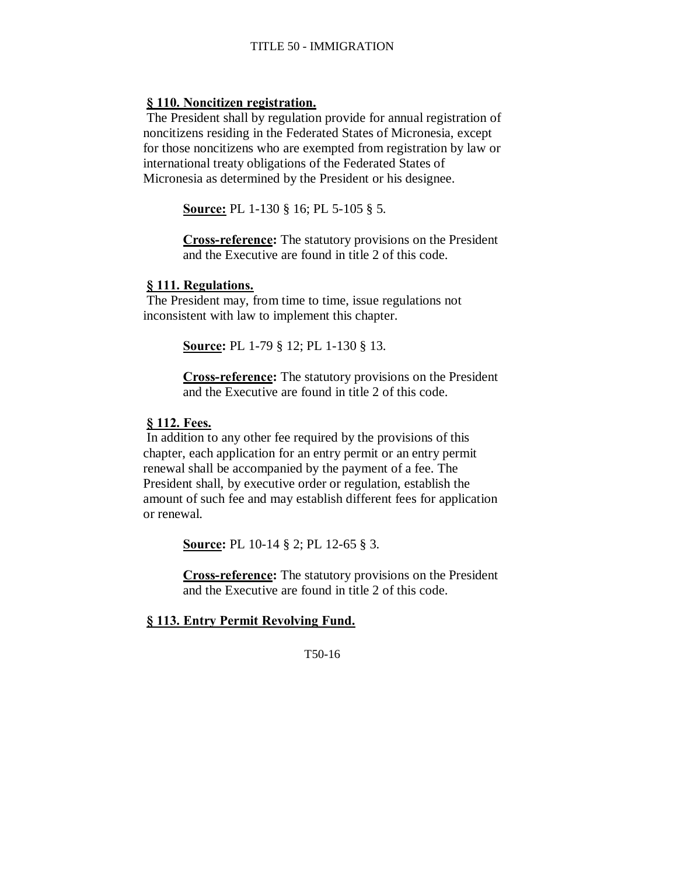### **§ 110. Noncitizen registration.**

The President shall by regulation provide for annual registration of noncitizens residing in the Federated States of Micronesia, except for those noncitizens who are exempted from registration by law or international treaty obligations of the Federated States of Micronesia as determined by the President or his designee.

**Source:** PL 1-130 § 16; PL 5-105 § 5.

**Cross-reference:** The statutory provisions on the President and the Executive are found in title 2 of this code.

### **§ 111. Regulations.**

The President may, from time to time, issue regulations not inconsistent with law to implement this chapter.

**Source:** PL 1-79 § 12; PL 1-130 § 13.

**Cross-reference:** The statutory provisions on the President and the Executive are found in title 2 of this code.

# **§ 112. Fees.**

In addition to any other fee required by the provisions of this chapter, each application for an entry permit or an entry permit renewal shall be accompanied by the payment of a fee. The President shall, by executive order or regulation, establish the amount of such fee and may establish different fees for application or renewal.

**Source:** PL 10-14 § 2; PL 12-65 § 3.

**Cross-reference:** The statutory provisions on the President and the Executive are found in title 2 of this code.

# **§ 113. Entry Permit Revolving Fund.**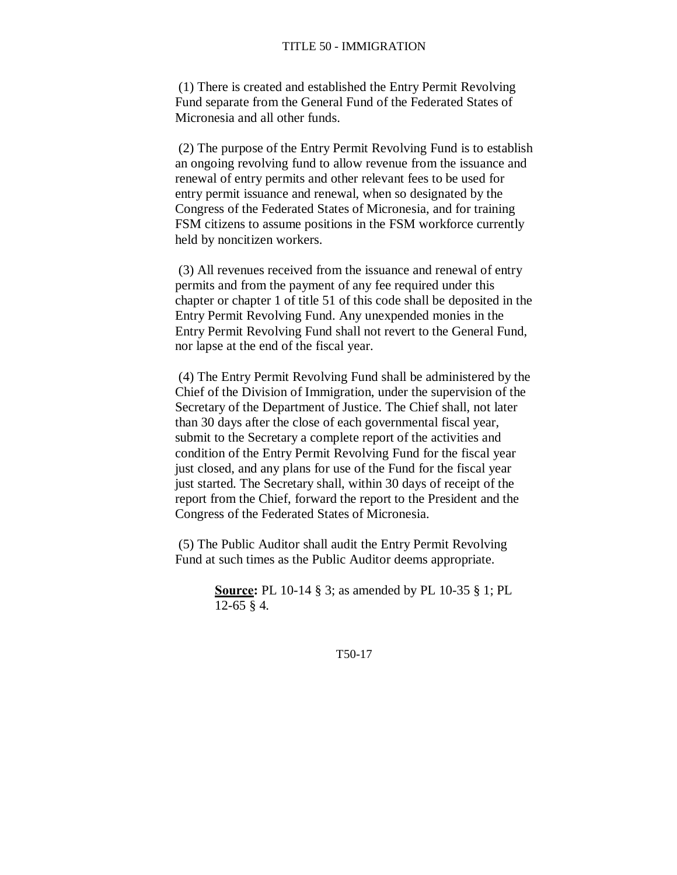(1) There is created and established the Entry Permit Revolving Fund separate from the General Fund of the Federated States of Micronesia and all other funds.

(2) The purpose of the Entry Permit Revolving Fund is to establish an ongoing revolving fund to allow revenue from the issuance and renewal of entry permits and other relevant fees to be used for entry permit issuance and renewal, when so designated by the Congress of the Federated States of Micronesia, and for training FSM citizens to assume positions in the FSM workforce currently held by noncitizen workers.

(3) All revenues received from the issuance and renewal of entry permits and from the payment of any fee required under this chapter or chapter 1 of title 51 of this code shall be deposited in the Entry Permit Revolving Fund. Any unexpended monies in the Entry Permit Revolving Fund shall not revert to the General Fund, nor lapse at the end of the fiscal year.

(4) The Entry Permit Revolving Fund shall be administered by the Chief of the Division of Immigration, under the supervision of the Secretary of the Department of Justice. The Chief shall, not later than 30 days after the close of each governmental fiscal year, submit to the Secretary a complete report of the activities and condition of the Entry Permit Revolving Fund for the fiscal year just closed, and any plans for use of the Fund for the fiscal year just started. The Secretary shall, within 30 days of receipt of the report from the Chief, forward the report to the President and the Congress of the Federated States of Micronesia.

(5) The Public Auditor shall audit the Entry Permit Revolving Fund at such times as the Public Auditor deems appropriate.

> **Source:** PL 10-14 § 3; as amended by PL 10-35 § 1; PL 12-65 § 4.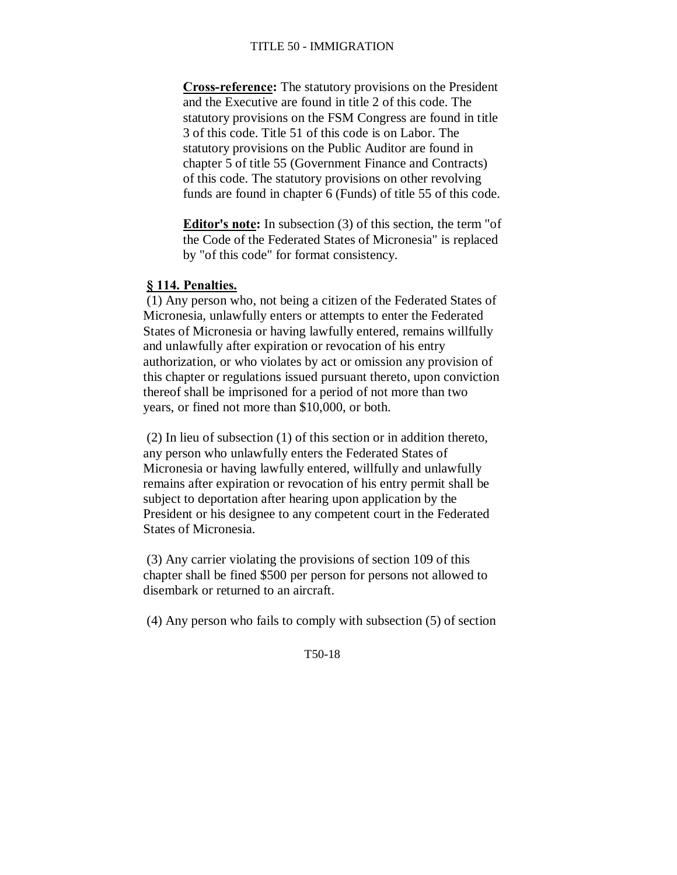**Cross-reference:** The statutory provisions on the President and the Executive are found in title 2 of this code. The statutory provisions on the FSM Congress are found in title 3 of this code. Title 51 of this code is on Labor. The statutory provisions on the Public Auditor are found in chapter 5 of title 55 (Government Finance and Contracts) of this code. The statutory provisions on other revolving funds are found in chapter 6 (Funds) of title 55 of this code.

**Editor's note:** In subsection (3) of this section, the term "of the Code of the Federated States of Micronesia" is replaced by "of this code" for format consistency.

# **§ 114. Penalties.**

(1) Any person who, not being a citizen of the Federated States of Micronesia, unlawfully enters or attempts to enter the Federated States of Micronesia or having lawfully entered, remains willfully and unlawfully after expiration or revocation of his entry authorization, or who violates by act or omission any provision of this chapter or regulations issued pursuant thereto, upon conviction thereof shall be imprisoned for a period of not more than two years, or fined not more than \$10,000, or both.

(2) In lieu of subsection (1) of this section or in addition thereto, any person who unlawfully enters the Federated States of Micronesia or having lawfully entered, willfully and unlawfully remains after expiration or revocation of his entry permit shall be subject to deportation after hearing upon application by the President or his designee to any competent court in the Federated States of Micronesia.

(3) Any carrier violating the provisions of section 109 of this chapter shall be fined \$500 per person for persons not allowed to disembark or returned to an aircraft.

(4) Any person who fails to comply with subsection (5) of section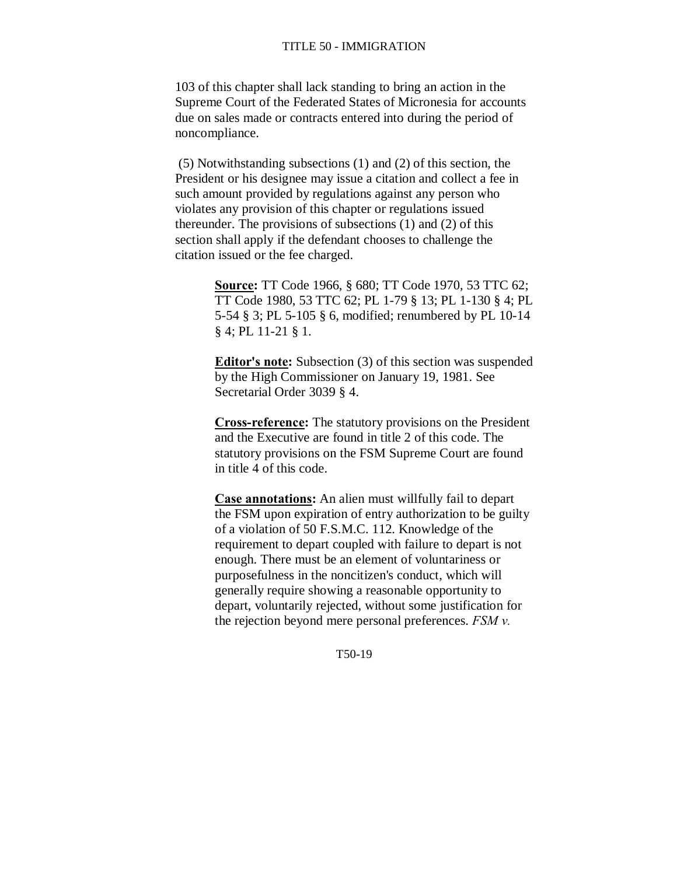103 of this chapter shall lack standing to bring an action in the Supreme Court of the Federated States of Micronesia for accounts due on sales made or contracts entered into during the period of noncompliance.

(5) Notwithstanding subsections (1) and (2) of this section, the President or his designee may issue a citation and collect a fee in such amount provided by regulations against any person who violates any provision of this chapter or regulations issued thereunder. The provisions of subsections (1) and (2) of this section shall apply if the defendant chooses to challenge the citation issued or the fee charged.

> **Source:** TT Code 1966, § 680; TT Code 1970, 53 TTC 62; TT Code 1980, 53 TTC 62; PL 1-79 § 13; PL 1-130 § 4; PL 5-54 § 3; PL 5-105 § 6, modified; renumbered by PL 10-14 § 4; PL 11-21 § 1.

> **Editor's note:** Subsection (3) of this section was suspended by the High Commissioner on January 19, 1981. See Secretarial Order 3039 § 4.

**Cross-reference:** The statutory provisions on the President and the Executive are found in title 2 of this code. The statutory provisions on the FSM Supreme Court are found in title 4 of this code.

**Case annotations:** An alien must willfully fail to depart the FSM upon expiration of entry authorization to be guilty of a violation of 50 F.S.M.C. 112. Knowledge of the requirement to depart coupled with failure to depart is not enough. There must be an element of voluntariness or purposefulness in the noncitizen's conduct, which will generally require showing a reasonable opportunity to depart, voluntarily rejected, without some justification for the rejection beyond mere personal preferences. *FSM v.*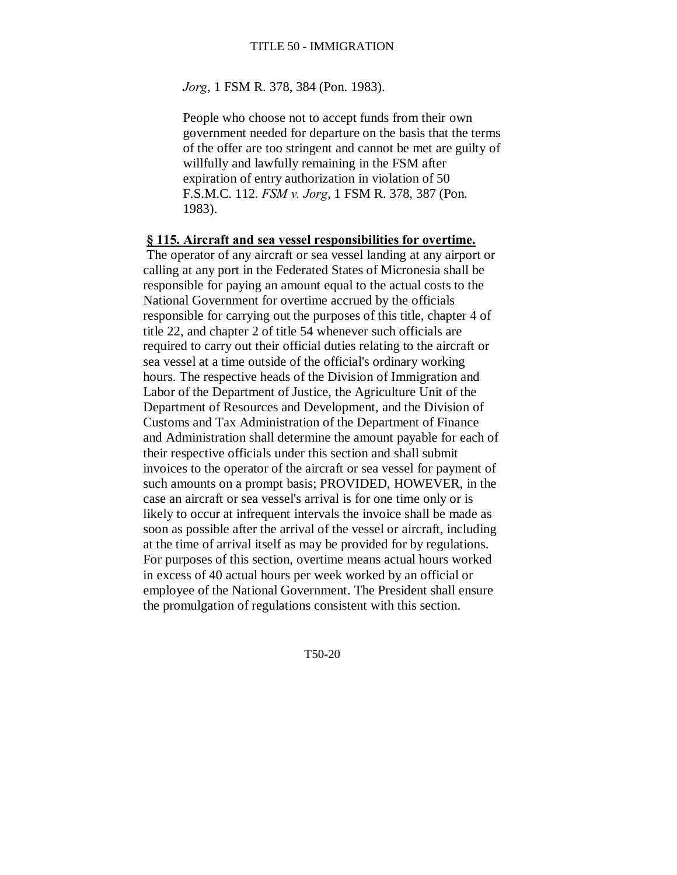*Jorg*, 1 FSM R. 378, 384 (Pon. 1983).

People who choose not to accept funds from their own government needed for departure on the basis that the terms of the offer are too stringent and cannot be met are guilty of willfully and lawfully remaining in the FSM after expiration of entry authorization in violation of 50 F.S.M.C. 112. *FSM v. Jorg*, 1 FSM R. 378, 387 (Pon. 1983).

#### **§ 115. Aircraft and sea vessel responsibilities for overtime.**

The operator of any aircraft or sea vessel landing at any airport or calling at any port in the Federated States of Micronesia shall be responsible for paying an amount equal to the actual costs to the National Government for overtime accrued by the officials responsible for carrying out the purposes of this title, chapter 4 of title 22, and chapter 2 of title 54 whenever such officials are required to carry out their official duties relating to the aircraft or sea vessel at a time outside of the official's ordinary working hours. The respective heads of the Division of Immigration and Labor of the Department of Justice, the Agriculture Unit of the Department of Resources and Development, and the Division of Customs and Tax Administration of the Department of Finance and Administration shall determine the amount payable for each of their respective officials under this section and shall submit invoices to the operator of the aircraft or sea vessel for payment of such amounts on a prompt basis; PROVIDED, HOWEVER, in the case an aircraft or sea vessel's arrival is for one time only or is likely to occur at infrequent intervals the invoice shall be made as soon as possible after the arrival of the vessel or aircraft, including at the time of arrival itself as may be provided for by regulations. For purposes of this section, overtime means actual hours worked in excess of 40 actual hours per week worked by an official or employee of the National Government. The President shall ensure the promulgation of regulations consistent with this section.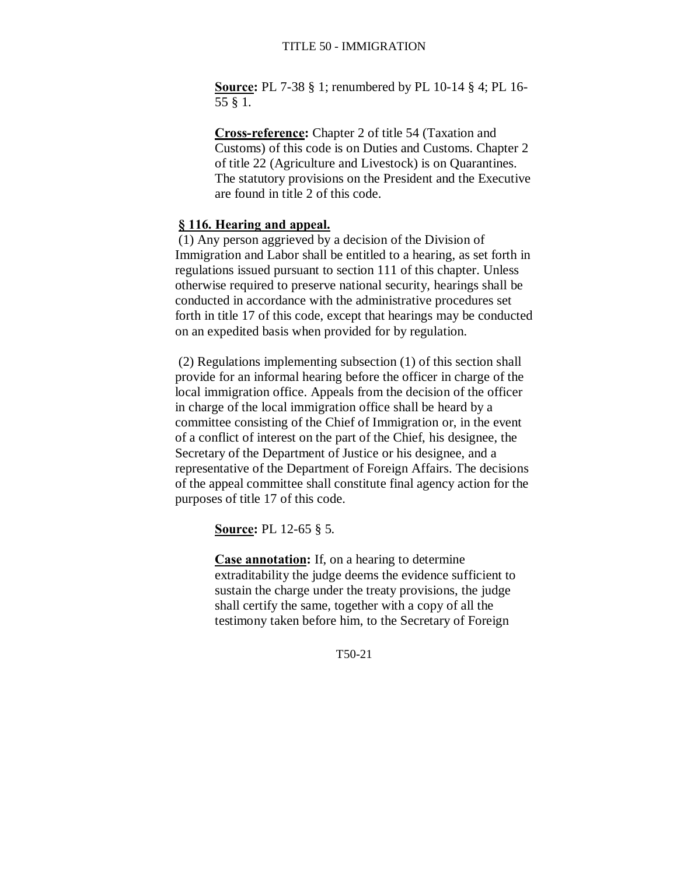**Source:** PL 7-38 § 1; renumbered by PL 10-14 § 4; PL 16- 55 § 1.

**Cross-reference:** Chapter 2 of title 54 (Taxation and Customs) of this code is on Duties and Customs. Chapter 2 of title 22 (Agriculture and Livestock) is on Quarantines. The statutory provisions on the President and the Executive are found in title 2 of this code.

# **§ 116. Hearing and appeal.**

(1) Any person aggrieved by a decision of the Division of Immigration and Labor shall be entitled to a hearing, as set forth in regulations issued pursuant to section 111 of this chapter. Unless otherwise required to preserve national security, hearings shall be conducted in accordance with the administrative procedures set forth in title 17 of this code, except that hearings may be conducted on an expedited basis when provided for by regulation.

(2) Regulations implementing subsection (1) of this section shall provide for an informal hearing before the officer in charge of the local immigration office. Appeals from the decision of the officer in charge of the local immigration office shall be heard by a committee consisting of the Chief of Immigration or, in the event of a conflict of interest on the part of the Chief, his designee, the Secretary of the Department of Justice or his designee, and a representative of the Department of Foreign Affairs. The decisions of the appeal committee shall constitute final agency action for the purposes of title 17 of this code.

**Source:** PL 12-65 § 5.

**Case annotation:** If, on a hearing to determine extraditability the judge deems the evidence sufficient to sustain the charge under the treaty provisions, the judge shall certify the same, together with a copy of all the testimony taken before him, to the Secretary of Foreign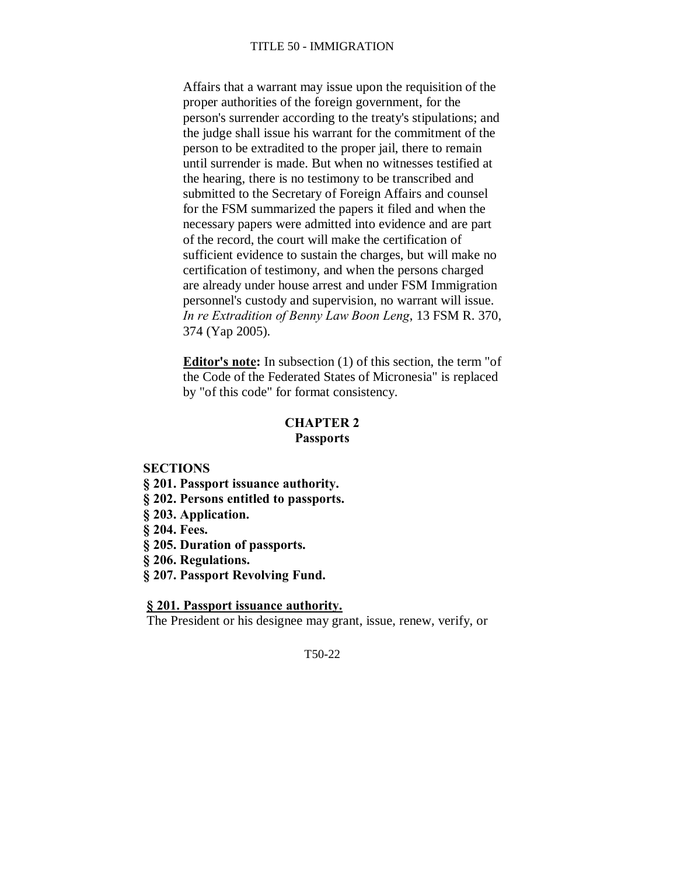Affairs that a warrant may issue upon the requisition of the proper authorities of the foreign government, for the person's surrender according to the treaty's stipulations; and the judge shall issue his warrant for the commitment of the person to be extradited to the proper jail, there to remain until surrender is made. But when no witnesses testified at the hearing, there is no testimony to be transcribed and submitted to the Secretary of Foreign Affairs and counsel for the FSM summarized the papers it filed and when the necessary papers were admitted into evidence and are part of the record, the court will make the certification of sufficient evidence to sustain the charges, but will make no certification of testimony, and when the persons charged are already under house arrest and under FSM Immigration personnel's custody and supervision, no warrant will issue. *In re Extradition of Benny Law Boon Leng*, 13 FSM R. 370, 374 (Yap 2005).

**Editor's note:** In subsection (1) of this section, the term "of the Code of the Federated States of Micronesia" is replaced by "of this code" for format consistency.

### **CHAPTER 2 Passports**

#### **SECTIONS**

- **§ 201. Passport issuance authority.**
- **§ 202. Persons entitled to passports.**
- **§ 203. Application.**
- **§ 204. Fees.**
- **§ 205. Duration of passports.**
- **§ 206. Regulations.**
- **§ 207. Passport Revolving Fund.**

# **§ 201. Passport issuance authority.**

The President or his designee may grant, issue, renew, verify, or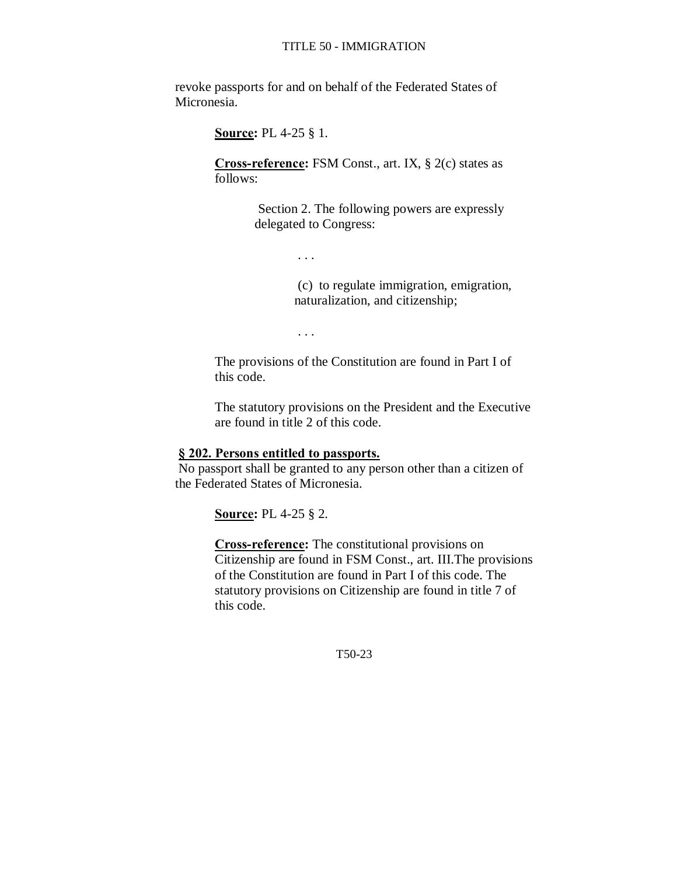revoke passports for and on behalf of the Federated States of Micronesia.

**Source:** PL 4-25 § 1.

**Cross-reference:** FSM Const., art. IX, § 2(c) states as follows:

> Section 2. The following powers are expressly delegated to Congress:

> > . . .

(c) to regulate immigration, emigration, naturalization, and citizenship;

. . .

The provisions of the Constitution are found in Part I of this code.

The statutory provisions on the President and the Executive are found in title 2 of this code.

# **§ 202. Persons entitled to passports.**

No passport shall be granted to any person other than a citizen of the Federated States of Micronesia.

**Source:** PL 4-25 § 2.

**Cross-reference:** The constitutional provisions on Citizenship are found in FSM Const., art. III.The provisions of the Constitution are found in Part I of this code. The statutory provisions on Citizenship are found in title 7 of this code.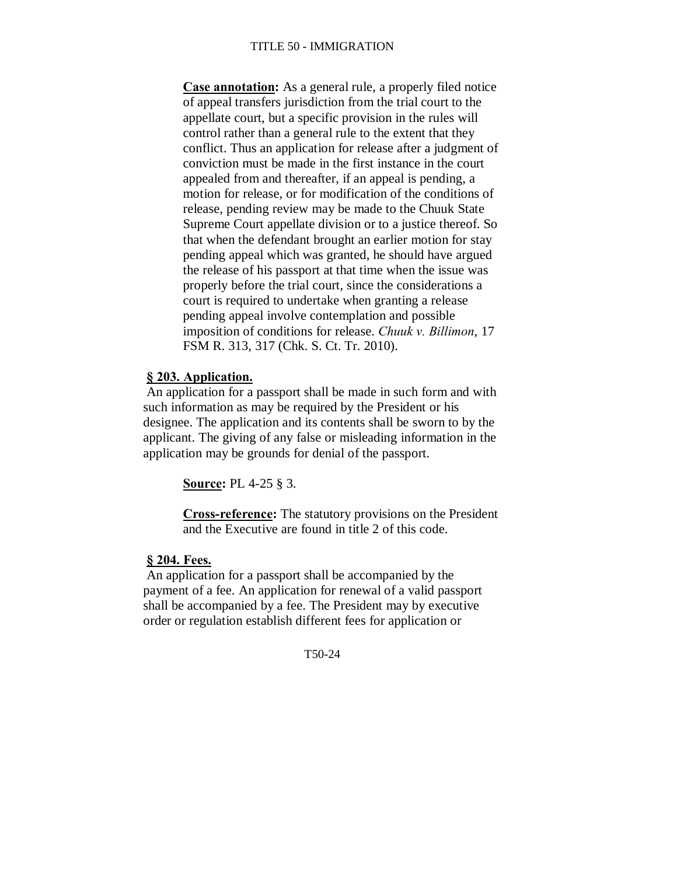**Case annotation:** As a general rule, a properly filed notice of appeal transfers jurisdiction from the trial court to the appellate court, but a specific provision in the rules will control rather than a general rule to the extent that they conflict. Thus an application for release after a judgment of conviction must be made in the first instance in the court appealed from and thereafter, if an appeal is pending, a motion for release, or for modification of the conditions of release, pending review may be made to the Chuuk State Supreme Court appellate division or to a justice thereof. So that when the defendant brought an earlier motion for stay pending appeal which was granted, he should have argued the release of his passport at that time when the issue was properly before the trial court, since the considerations a court is required to undertake when granting a release pending appeal involve contemplation and possible imposition of conditions for release. *Chuuk v. Billimon*, 17 FSM R. 313, 317 (Chk. S. Ct. Tr. 2010).

#### **§ 203. Application.**

An application for a passport shall be made in such form and with such information as may be required by the President or his designee. The application and its contents shall be sworn to by the applicant. The giving of any false or misleading information in the application may be grounds for denial of the passport.

**Source:** PL 4-25 § 3.

**Cross-reference:** The statutory provisions on the President and the Executive are found in title 2 of this code.

#### **§ 204. Fees.**

An application for a passport shall be accompanied by the payment of a fee. An application for renewal of a valid passport shall be accompanied by a fee. The President may by executive order or regulation establish different fees for application or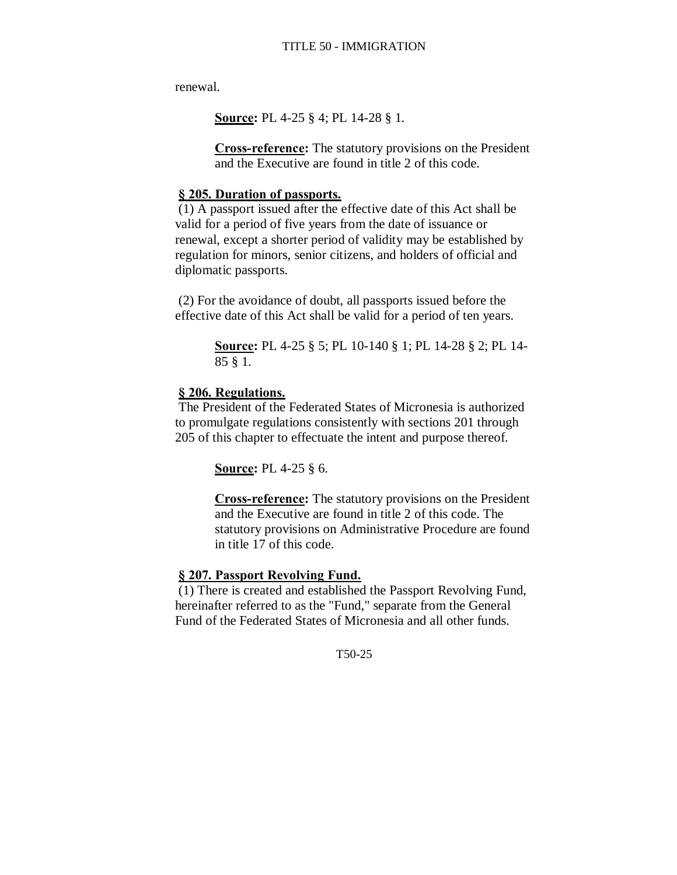renewal.

**Source:** PL 4-25 § 4; PL 14-28 § 1.

**Cross-reference:** The statutory provisions on the President and the Executive are found in title 2 of this code.

### **§ 205. Duration of passports.**

(1) A passport issued after the effective date of this Act shall be valid for a period of five years from the date of issuance or renewal, except a shorter period of validity may be established by regulation for minors, senior citizens, and holders of official and diplomatic passports.

(2) For the avoidance of doubt, all passports issued before the effective date of this Act shall be valid for a period of ten years.

> **Source:** PL 4-25 § 5; PL 10-140 § 1; PL 14-28 § 2; PL 14- 85 § 1.

# **§ 206. Regulations.**

The President of the Federated States of Micronesia is authorized to promulgate regulations consistently with sections 201 through 205 of this chapter to effectuate the intent and purpose thereof.

**Source:** PL 4-25 § 6.

**Cross-reference:** The statutory provisions on the President and the Executive are found in title 2 of this code. The statutory provisions on Administrative Procedure are found in title 17 of this code.

### **§ 207. Passport Revolving Fund.**

(1) There is created and established the Passport Revolving Fund, hereinafter referred to as the "Fund," separate from the General Fund of the Federated States of Micronesia and all other funds.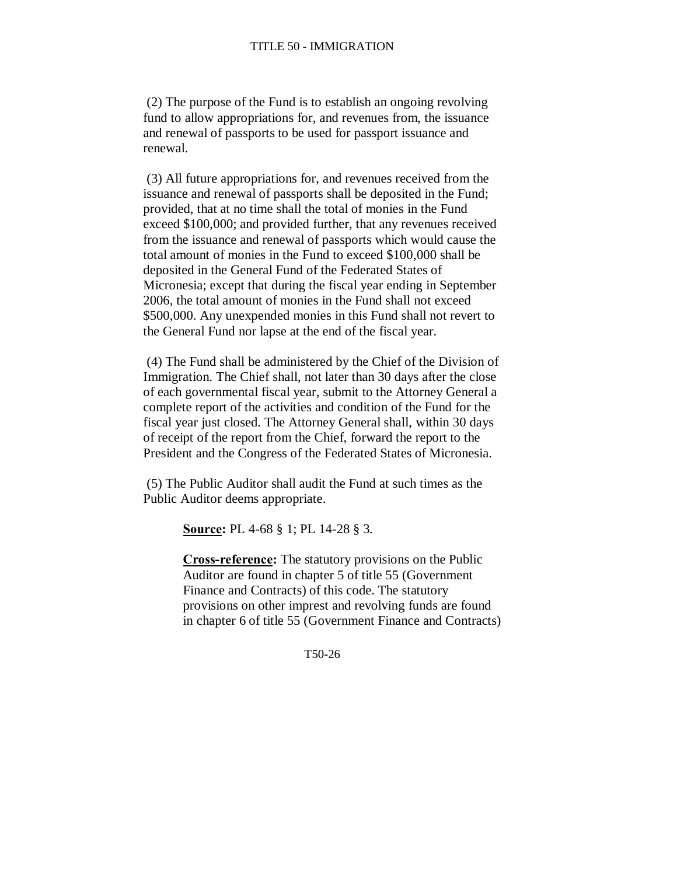(2) The purpose of the Fund is to establish an ongoing revolving fund to allow appropriations for, and revenues from, the issuance and renewal of passports to be used for passport issuance and renewal.

(3) All future appropriations for, and revenues received from the issuance and renewal of passports shall be deposited in the Fund; provided, that at no time shall the total of monies in the Fund exceed \$100,000; and provided further, that any revenues received from the issuance and renewal of passports which would cause the total amount of monies in the Fund to exceed \$100,000 shall be deposited in the General Fund of the Federated States of Micronesia; except that during the fiscal year ending in September 2006, the total amount of monies in the Fund shall not exceed \$500,000. Any unexpended monies in this Fund shall not revert to the General Fund nor lapse at the end of the fiscal year.

(4) The Fund shall be administered by the Chief of the Division of Immigration. The Chief shall, not later than 30 days after the close of each governmental fiscal year, submit to the Attorney General a complete report of the activities and condition of the Fund for the fiscal year just closed. The Attorney General shall, within 30 days of receipt of the report from the Chief, forward the report to the President and the Congress of the Federated States of Micronesia.

(5) The Public Auditor shall audit the Fund at such times as the Public Auditor deems appropriate.

**Source:** PL 4-68 § 1; PL 14-28 § 3.

**Cross-reference:** The statutory provisions on the Public Auditor are found in chapter 5 of title 55 (Government Finance and Contracts) of this code. The statutory provisions on other imprest and revolving funds are found in chapter 6 of title 55 (Government Finance and Contracts)